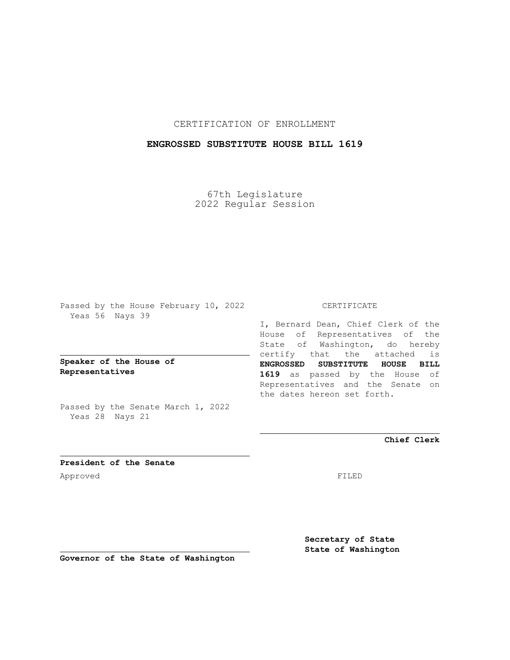CERTIFICATION OF ENROLLMENT

## **ENGROSSED SUBSTITUTE HOUSE BILL 1619**

67th Legislature 2022 Regular Session

Passed by the House February 10, 2022 Yeas 56 Nays 39

**Speaker of the House of Representatives**

Passed by the Senate March 1, 2022 Yeas 28 Nays 21

## CERTIFICATE

I, Bernard Dean, Chief Clerk of the House of Representatives of the State of Washington, do hereby certify that the attached is **ENGROSSED SUBSTITUTE HOUSE BILL 1619** as passed by the House of Representatives and the Senate on the dates hereon set forth.

**Chief Clerk**

**President of the Senate** Approved FILED

**Secretary of State State of Washington**

**Governor of the State of Washington**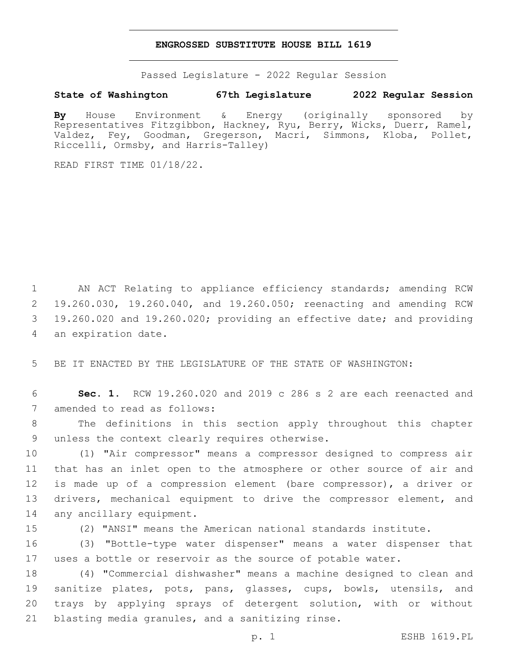## **ENGROSSED SUBSTITUTE HOUSE BILL 1619**

Passed Legislature - 2022 Regular Session

## **State of Washington 67th Legislature 2022 Regular Session**

**By** House Environment & Energy (originally sponsored by Representatives Fitzgibbon, Hackney, Ryu, Berry, Wicks, Duerr, Ramel, Valdez, Fey, Goodman, Gregerson, Macri, Simmons, Kloba, Pollet, Riccelli, Ormsby, and Harris-Talley)

READ FIRST TIME 01/18/22.

 AN ACT Relating to appliance efficiency standards; amending RCW 19.260.030, 19.260.040, and 19.260.050; reenacting and amending RCW 19.260.020 and 19.260.020; providing an effective date; and providing 4 an expiration date.

5 BE IT ENACTED BY THE LEGISLATURE OF THE STATE OF WASHINGTON:

6 **Sec. 1.** RCW 19.260.020 and 2019 c 286 s 2 are each reenacted and 7 amended to read as follows:

8 The definitions in this section apply throughout this chapter 9 unless the context clearly requires otherwise.

10 (1) "Air compressor" means a compressor designed to compress air 11 that has an inlet open to the atmosphere or other source of air and 12 is made up of a compression element (bare compressor), a driver or 13 drivers, mechanical equipment to drive the compressor element, and 14 any ancillary equipment.

15 (2) "ANSI" means the American national standards institute.

16 (3) "Bottle-type water dispenser" means a water dispenser that 17 uses a bottle or reservoir as the source of potable water.

 (4) "Commercial dishwasher" means a machine designed to clean and sanitize plates, pots, pans, glasses, cups, bowls, utensils, and trays by applying sprays of detergent solution, with or without 21 blasting media granules, and a sanitizing rinse.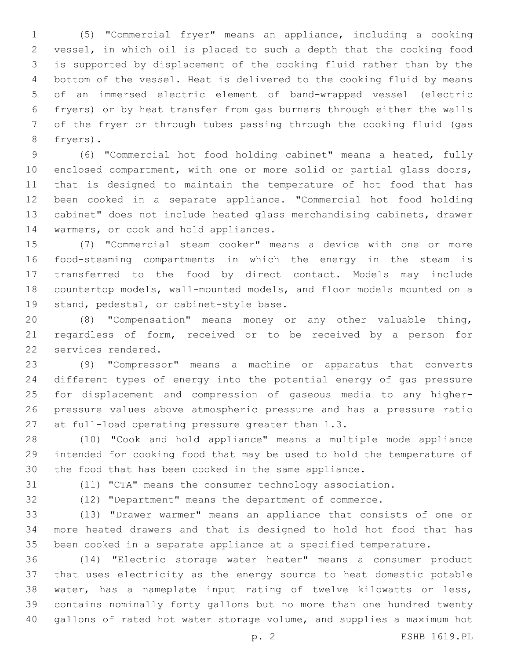(5) "Commercial fryer" means an appliance, including a cooking vessel, in which oil is placed to such a depth that the cooking food is supported by displacement of the cooking fluid rather than by the bottom of the vessel. Heat is delivered to the cooking fluid by means of an immersed electric element of band-wrapped vessel (electric fryers) or by heat transfer from gas burners through either the walls of the fryer or through tubes passing through the cooking fluid (gas 8 fryers).

 (6) "Commercial hot food holding cabinet" means a heated, fully enclosed compartment, with one or more solid or partial glass doors, that is designed to maintain the temperature of hot food that has been cooked in a separate appliance. "Commercial hot food holding cabinet" does not include heated glass merchandising cabinets, drawer 14 warmers, or cook and hold appliances.

 (7) "Commercial steam cooker" means a device with one or more food-steaming compartments in which the energy in the steam is transferred to the food by direct contact. Models may include countertop models, wall-mounted models, and floor models mounted on a 19 stand, pedestal, or cabinet-style base.

 (8) "Compensation" means money or any other valuable thing, regardless of form, received or to be received by a person for 22 services rendered.

 (9) "Compressor" means a machine or apparatus that converts different types of energy into the potential energy of gas pressure for displacement and compression of gaseous media to any higher- pressure values above atmospheric pressure and has a pressure ratio 27 at full-load operating pressure greater than 1.3.

 (10) "Cook and hold appliance" means a multiple mode appliance intended for cooking food that may be used to hold the temperature of the food that has been cooked in the same appliance.

(11) "CTA" means the consumer technology association.

 (12) "Department" means the department of commerce. (13) "Drawer warmer" means an appliance that consists of one or

 more heated drawers and that is designed to hold hot food that has been cooked in a separate appliance at a specified temperature.

 (14) "Electric storage water heater" means a consumer product that uses electricity as the energy source to heat domestic potable water, has a nameplate input rating of twelve kilowatts or less, contains nominally forty gallons but no more than one hundred twenty gallons of rated hot water storage volume, and supplies a maximum hot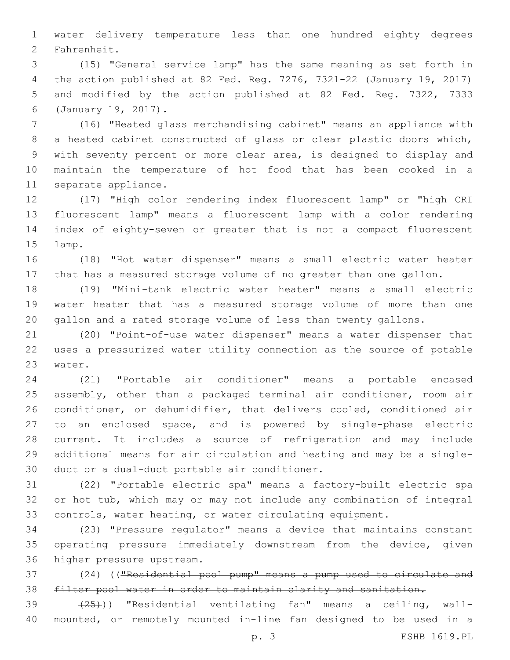water delivery temperature less than one hundred eighty degrees 2 Fahrenheit.

 (15) "General service lamp" has the same meaning as set forth in the action published at 82 Fed. Reg. 7276, 7321-22 (January 19, 2017) and modified by the action published at 82 Fed. Reg. 7322, 7333 (January 19, 2017).6

 (16) "Heated glass merchandising cabinet" means an appliance with a heated cabinet constructed of glass or clear plastic doors which, with seventy percent or more clear area, is designed to display and maintain the temperature of hot food that has been cooked in a 11 separate appliance.

 (17) "High color rendering index fluorescent lamp" or "high CRI fluorescent lamp" means a fluorescent lamp with a color rendering index of eighty-seven or greater that is not a compact fluorescent 15 lamp.

 (18) "Hot water dispenser" means a small electric water heater that has a measured storage volume of no greater than one gallon.

 (19) "Mini-tank electric water heater" means a small electric water heater that has a measured storage volume of more than one gallon and a rated storage volume of less than twenty gallons.

 (20) "Point-of-use water dispenser" means a water dispenser that uses a pressurized water utility connection as the source of potable 23 water.

 (21) "Portable air conditioner" means a portable encased assembly, other than a packaged terminal air conditioner, room air conditioner, or dehumidifier, that delivers cooled, conditioned air to an enclosed space, and is powered by single-phase electric current. It includes a source of refrigeration and may include additional means for air circulation and heating and may be a single-30 duct or a dual-duct portable air conditioner.

 (22) "Portable electric spa" means a factory-built electric spa or hot tub, which may or may not include any combination of integral controls, water heating, or water circulating equipment.

 (23) "Pressure regulator" means a device that maintains constant operating pressure immediately downstream from the device, given 36 higher pressure upstream.

 (24) (("Residential pool pump" means a pump used to circulate and filter pool water in order to maintain clarity and sanitation.

39 (25)) "Residential ventilating fan" means a ceiling, wall-mounted, or remotely mounted in-line fan designed to be used in a

p. 3 ESHB 1619.PL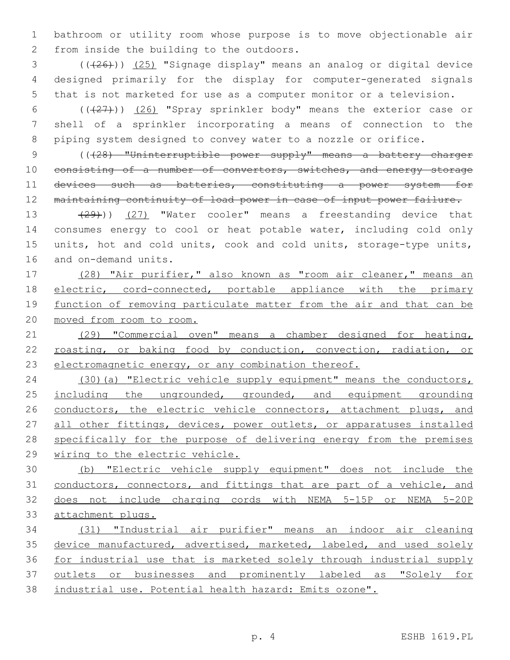bathroom or utility room whose purpose is to move objectionable air 2 from inside the building to the outdoors.

 ( $(\overline{+26})$ )  $(25)$  "Signage display" means an analog or digital device designed primarily for the display for computer-generated signals that is not marketed for use as a computer monitor or a television.

 (((27))) (26) "Spray sprinkler body" means the exterior case or shell of a sprinkler incorporating a means of connection to the piping system designed to convey water to a nozzle or orifice.

 (((28) "Uninterruptible power supply" means a battery charger 10 consisting of a number of convertors, switches, and energy storage 11 devices such as batteries, constituting a power system for maintaining continuity of load power in case of input power failure.

13 (29))) (27) "Water cooler" means a freestanding device that consumes energy to cool or heat potable water, including cold only units, hot and cold units, cook and cold units, storage-type units, 16 and on-demand units.

 (28) "Air purifier," also known as "room air cleaner," means an electric, cord-connected, portable appliance with the primary 19 function of removing particulate matter from the air and that can be moved from room to room.

 (29) "Commercial oven" means a chamber designed for heating, 22 roasting, or baking food by conduction, convection, radiation, or electromagnetic energy, or any combination thereof.

 (30)(a) "Electric vehicle supply equipment" means the conductors, 25 including the ungrounded, grounded, and equipment grounding 26 conductors, the electric vehicle connectors, attachment plugs, and 27 all other fittings, devices, power outlets, or apparatuses installed specifically for the purpose of delivering energy from the premises wiring to the electric vehicle.

 (b) "Electric vehicle supply equipment" does not include the conductors, connectors, and fittings that are part of a vehicle, and does not include charging cords with NEMA 5-15P or NEMA 5-20P attachment plugs.

 (31) "Industrial air purifier" means an indoor air cleaning 35 device manufactured, advertised, marketed, labeled, and used solely for industrial use that is marketed solely through industrial supply 37 outlets or businesses and prominently labeled as "Solely for industrial use. Potential health hazard: Emits ozone".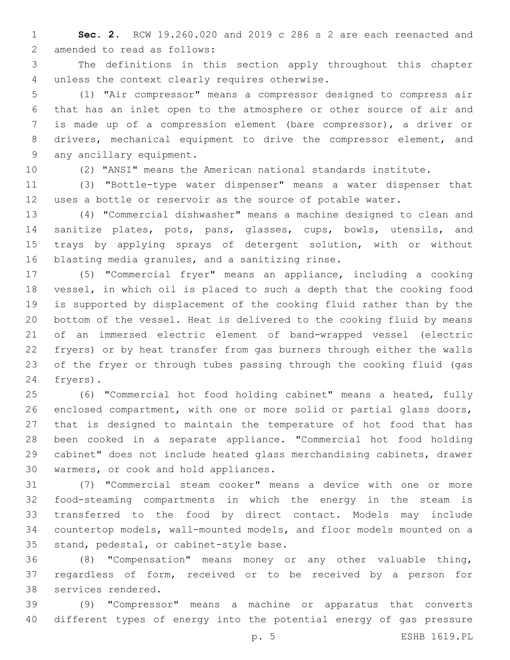**Sec. 2.** RCW 19.260.020 and 2019 c 286 s 2 are each reenacted and 2 amended to read as follows:

 The definitions in this section apply throughout this chapter 4 unless the context clearly requires otherwise.

 (1) "Air compressor" means a compressor designed to compress air that has an inlet open to the atmosphere or other source of air and is made up of a compression element (bare compressor), a driver or drivers, mechanical equipment to drive the compressor element, and 9 any ancillary equipment.

(2) "ANSI" means the American national standards institute.

 (3) "Bottle-type water dispenser" means a water dispenser that uses a bottle or reservoir as the source of potable water.

 (4) "Commercial dishwasher" means a machine designed to clean and sanitize plates, pots, pans, glasses, cups, bowls, utensils, and trays by applying sprays of detergent solution, with or without 16 blasting media granules, and a sanitizing rinse.

 (5) "Commercial fryer" means an appliance, including a cooking vessel, in which oil is placed to such a depth that the cooking food is supported by displacement of the cooking fluid rather than by the bottom of the vessel. Heat is delivered to the cooking fluid by means of an immersed electric element of band-wrapped vessel (electric fryers) or by heat transfer from gas burners through either the walls of the fryer or through tubes passing through the cooking fluid (gas 24 fryers).

 (6) "Commercial hot food holding cabinet" means a heated, fully enclosed compartment, with one or more solid or partial glass doors, that is designed to maintain the temperature of hot food that has been cooked in a separate appliance. "Commercial hot food holding cabinet" does not include heated glass merchandising cabinets, drawer 30 warmers, or cook and hold appliances.

 (7) "Commercial steam cooker" means a device with one or more food-steaming compartments in which the energy in the steam is transferred to the food by direct contact. Models may include countertop models, wall-mounted models, and floor models mounted on a 35 stand, pedestal, or cabinet-style base.

 (8) "Compensation" means money or any other valuable thing, regardless of form, received or to be received by a person for 38 services rendered.

 (9) "Compressor" means a machine or apparatus that converts different types of energy into the potential energy of gas pressure

p. 5 ESHB 1619.PL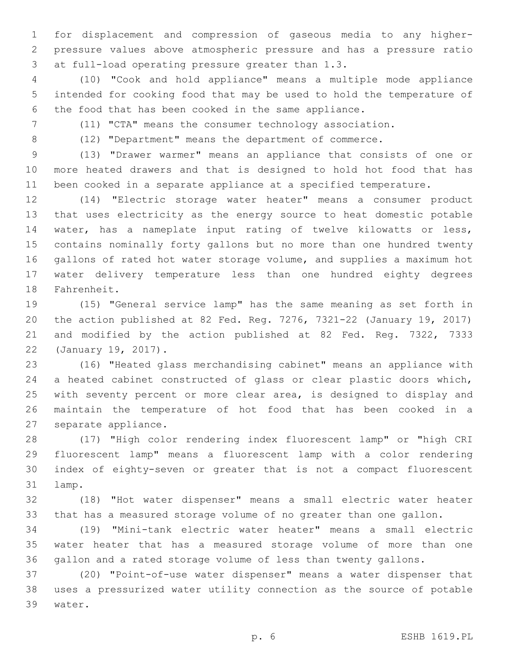for displacement and compression of gaseous media to any higher- pressure values above atmospheric pressure and has a pressure ratio 3 at full-load operating pressure greater than 1.3.

 (10) "Cook and hold appliance" means a multiple mode appliance intended for cooking food that may be used to hold the temperature of the food that has been cooked in the same appliance.

(11) "CTA" means the consumer technology association.

(12) "Department" means the department of commerce.

 (13) "Drawer warmer" means an appliance that consists of one or more heated drawers and that is designed to hold hot food that has been cooked in a separate appliance at a specified temperature.

 (14) "Electric storage water heater" means a consumer product that uses electricity as the energy source to heat domestic potable water, has a nameplate input rating of twelve kilowatts or less, contains nominally forty gallons but no more than one hundred twenty gallons of rated hot water storage volume, and supplies a maximum hot water delivery temperature less than one hundred eighty degrees 18 Fahrenheit.

 (15) "General service lamp" has the same meaning as set forth in the action published at 82 Fed. Reg. 7276, 7321-22 (January 19, 2017) and modified by the action published at 82 Fed. Reg. 7322, 7333 22 (January 19, 2017).

 (16) "Heated glass merchandising cabinet" means an appliance with a heated cabinet constructed of glass or clear plastic doors which, with seventy percent or more clear area, is designed to display and maintain the temperature of hot food that has been cooked in a 27 separate appliance.

 (17) "High color rendering index fluorescent lamp" or "high CRI fluorescent lamp" means a fluorescent lamp with a color rendering index of eighty-seven or greater that is not a compact fluorescent 31 lamp.

 (18) "Hot water dispenser" means a small electric water heater that has a measured storage volume of no greater than one gallon.

 (19) "Mini-tank electric water heater" means a small electric water heater that has a measured storage volume of more than one gallon and a rated storage volume of less than twenty gallons.

 (20) "Point-of-use water dispenser" means a water dispenser that uses a pressurized water utility connection as the source of potable 39 water.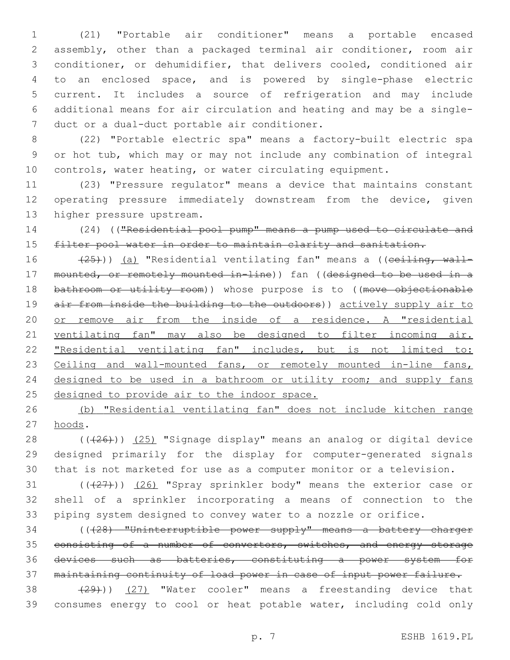(21) "Portable air conditioner" means a portable encased assembly, other than a packaged terminal air conditioner, room air conditioner, or dehumidifier, that delivers cooled, conditioned air to an enclosed space, and is powered by single-phase electric current. It includes a source of refrigeration and may include additional means for air circulation and heating and may be a single-7 duct or a dual-duct portable air conditioner.

 (22) "Portable electric spa" means a factory-built electric spa or hot tub, which may or may not include any combination of integral controls, water heating, or water circulating equipment.

 (23) "Pressure regulator" means a device that maintains constant operating pressure immediately downstream from the device, given 13 higher pressure upstream.

 (24) (("Residential pool pump" means a pump used to circulate and 15 filter pool water in order to maintain clarity and sanitation.

16 (25))) (a) "Residential ventilating fan" means a ((ceiling, wall- mounted, or remotely mounted in-line)) fan ((designed to be used in a 18 bathroom or utility room)) whose purpose is to ((move objectionable 19 air from inside the building to the outdoors)) actively supply air to or remove air from the inside of a residence. A "residential ventilating fan" may also be designed to filter incoming air. "Residential ventilating fan" includes, but is not limited to: 23 Ceiling and wall-mounted fans, or remotely mounted in-line fans, 24 designed to be used in a bathroom or utility room; and supply fans 25 designed to provide air to the indoor space.

 (b) "Residential ventilating fan" does not include kitchen range 27 hoods.

28 ((+26))) (25) "Signage display" means an analog or digital device designed primarily for the display for computer-generated signals that is not marketed for use as a computer monitor or a television.

31 (((27))) (26) "Spray sprinkler body" means the exterior case or shell of a sprinkler incorporating a means of connection to the piping system designed to convey water to a nozzle or orifice.

 (((28) "Uninterruptible power supply" means a battery charger 35 consisting of a number of convertors, switches, and energy storage devices such as batteries, constituting a power system for maintaining continuity of load power in case of input power failure.

38 (29))) (27) "Water cooler" means a freestanding device that consumes energy to cool or heat potable water, including cold only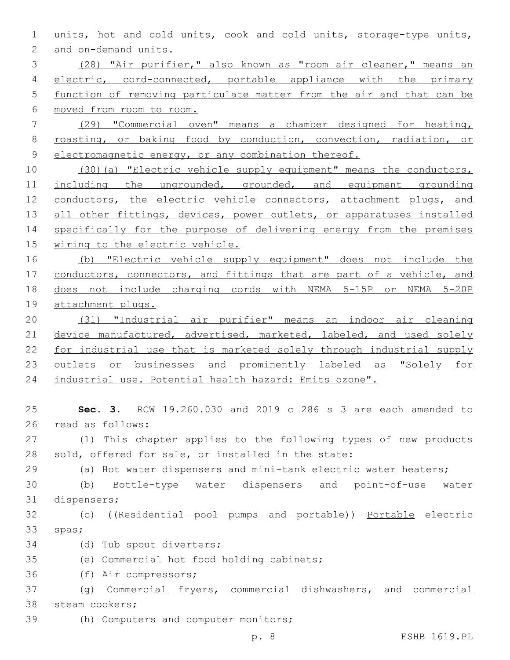1 units, hot and cold units, cook and cold units, storage-type units, 2 and on-demand units.

 (28) "Air purifier," also known as "room air cleaner," means an 4 electric, cord-connected, portable appliance with the primary function of removing particulate matter from the air and that can be moved from room to room.

7 (29) "Commercial oven" means a chamber designed for heating, 8 roasting, or baking food by conduction, convection, radiation, or 9 electromagnetic energy, or any combination thereof.

10 (30)(a) "Electric vehicle supply equipment" means the conductors, 11 including the ungrounded, grounded, and equipment grounding 12 conductors, the electric vehicle connectors, attachment plugs, and 13 all other fittings, devices, power outlets, or apparatuses installed 14 specifically for the purpose of delivering energy from the premises 15 wiring to the electric vehicle.

 (b) "Electric vehicle supply equipment" does not include the 17 conductors, connectors, and fittings that are part of a vehicle, and does not include charging cords with NEMA 5-15P or NEMA 5-20P attachment plugs.

20 (31) "Industrial air purifier" means an indoor air cleaning 21 device manufactured, advertised, marketed, labeled, and used solely 22 for industrial use that is marketed solely through industrial supply 23 <u>outlets or businesses and prominently labeled as "Solely for</u> 24 industrial use. Potential health hazard: Emits ozone".

25 **Sec. 3.** RCW 19.260.030 and 2019 c 286 s 3 are each amended to 26 read as follows:

27 (1) This chapter applies to the following types of new products 28 sold, offered for sale, or installed in the state:

29 (a) Hot water dispensers and mini-tank electric water heaters;

30 (b) Bottle-type water dispensers and point-of-use water 31 dispensers;

32 (c) ((Residential pool pumps and portable)) Portable electric 33 spas;

34 (d) Tub spout diverters;

35 (e) Commercial hot food holding cabinets;

36 (f) Air compressors;

37 (g) Commercial fryers, commercial dishwashers, and commercial 38 steam cookers;

39 (h) Computers and computer monitors;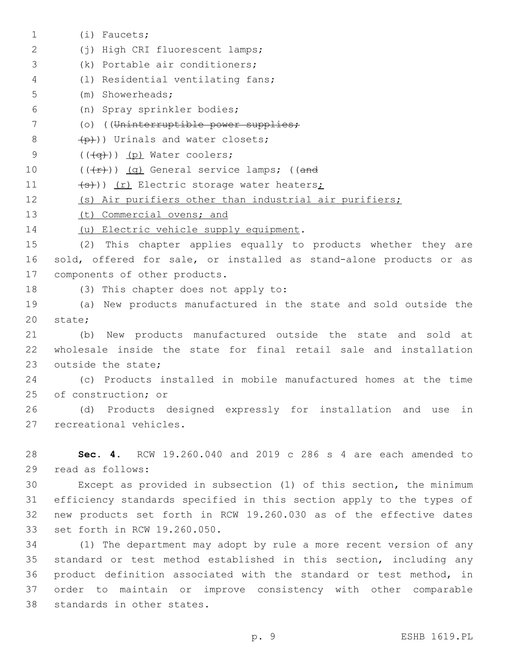(i) Faucets;1 (j) High CRI fluorescent lamps;2 3 (k) Portable air conditioners; (l) Residential ventilating fans;4 (m) Showerheads;5 (n) Spray sprinkler bodies;6 7 (o) ((Uninterruptible power supplies;  $\left(\frac{p}{p}\right)$ ) Urinals and water closets;  $($   $((\neg \rightarrow))$   $(p)$  Water coolers; 10  $((+r))$   $(q)$  General service lamps; ((and 11 (s)) (r) Electric storage water heaters; 12 (s) Air purifiers other than industrial air purifiers; 13 (t) Commercial ovens; and 14 (u) Electric vehicle supply equipment. 15 (2) This chapter applies equally to products whether they are 16 sold, offered for sale, or installed as stand-alone products or as 17 components of other products. 18 (3) This chapter does not apply to: 19 (a) New products manufactured in the state and sold outside the 20 state; 21 (b) New products manufactured outside the state and sold at 22 wholesale inside the state for final retail sale and installation 23 outside the state: 24 (c) Products installed in mobile manufactured homes at the time 25 of construction; or 26 (d) Products designed expressly for installation and use in 27 recreational vehicles. 28 **Sec. 4.** RCW 19.260.040 and 2019 c 286 s 4 are each amended to 29 read as follows: 30 Except as provided in subsection (1) of this section, the minimum 31 efficiency standards specified in this section apply to the types of 32 new products set forth in RCW 19.260.030 as of the effective dates 33 set forth in RCW 19.260.050. 34 (1) The department may adopt by rule a more recent version of any 35 standard or test method established in this section, including any

36 product definition associated with the standard or test method, in 37 order to maintain or improve consistency with other comparable 38 standards in other states.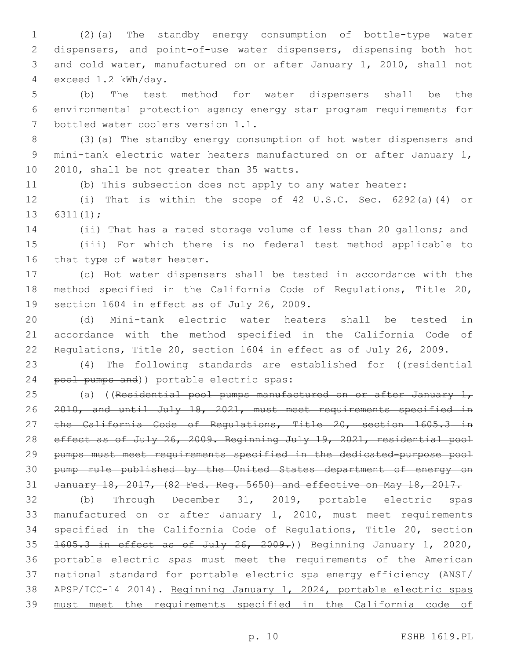(2)(a) The standby energy consumption of bottle-type water dispensers, and point-of-use water dispensers, dispensing both hot and cold water, manufactured on or after January 1, 2010, shall not exceed 1.2 kWh/day.4

 (b) The test method for water dispensers shall be the environmental protection agency energy star program requirements for 7 bottled water coolers version 1.1.

 (3)(a) The standby energy consumption of hot water dispensers and mini-tank electric water heaters manufactured on or after January 1, 10 2010, shall be not greater than 35 watts.

(b) This subsection does not apply to any water heater:

 (i) That is within the scope of 42 U.S.C. Sec. 6292(a)(4) or 13  $6311(1)$ ;

 (ii) That has a rated storage volume of less than 20 gallons; and (iii) For which there is no federal test method applicable to 16 that type of water heater.

 (c) Hot water dispensers shall be tested in accordance with the method specified in the California Code of Regulations, Title 20, 19 section 1604 in effect as of July 26, 2009.

 (d) Mini-tank electric water heaters shall be tested in accordance with the method specified in the California Code of Regulations, Title 20, section 1604 in effect as of July 26, 2009.

23 (4) The following standards are established for ((residential 24 pool pumps and)) portable electric spas:

25 (a) ((Residential pool pumps manufactured on or after January  $1<sub>r</sub>$  2010, and until July 18, 2021, must meet requirements specified in 27 the California Code of Regulations, Title 20, section 1605.3 in 28 effect as of July 26, 2009. Beginning July 19, 2021, residential pool pumps must meet requirements specified in the dedicated-purpose pool pump rule published by the United States department of energy on January 18, 2017, (82 Fed. Reg. 5650) and effective on May 18, 2017.

 (b) Through December 31, 2019, portable electric spas manufactured on or after January 1, 2010, must meet requirements specified in the California Code of Regulations, Title 20, section 35 1605.3 in effect as of July 26, 2009.) Beginning January 1, 2020, portable electric spas must meet the requirements of the American national standard for portable electric spa energy efficiency (ANSI/ APSP/ICC-14 2014). Beginning January 1, 2024, portable electric spas must meet the requirements specified in the California code of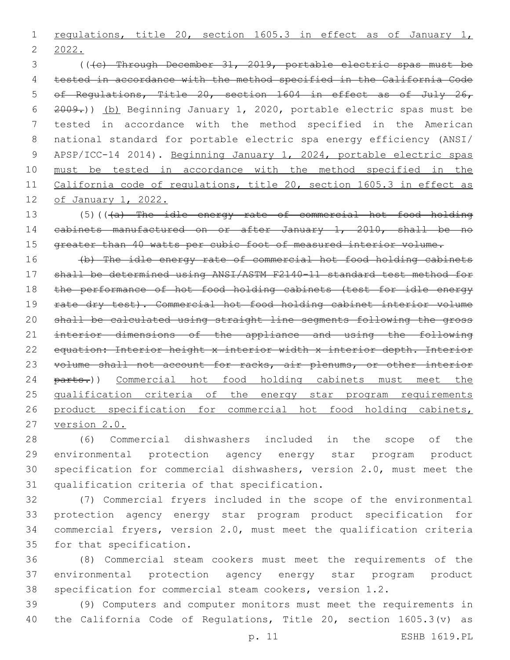1 regulations, title 20, section 1605.3 in effect as of January 1, 2022.

 (((c) Through December 31, 2019, portable electric spas must be tested in accordance with the method specified in the California Code of Regulations, Title 20, section 1604 in effect as of July 26, 2009.)) (b) Beginning January 1, 2020, portable electric spas must be tested in accordance with the method specified in the American national standard for portable electric spa energy efficiency (ANSI/ APSP/ICC-14 2014). Beginning January 1, 2024, portable electric spas must be tested in accordance with the method specified in the California code of regulations, title 20, section 1605.3 in effect as of January 1, 2022.

13 (5)(((a) The idle energy rate of commercial hot food holding cabinets manufactured on or after January 1, 2010, shall be no 15 greater than 40 watts per cubic foot of measured interior volume.

 (b) The idle energy rate of commercial hot food holding cabinets shall be determined using ANSI/ASTM F2140-11 standard test method for the performance of hot food holding cabinets (test for idle energy 19 rate dry test). Commercial hot food holding cabinet interior volume shall be calculated using straight line segments following the gross 21 interior dimensions of the appliance and using the following 22 equation: Interior height x interior width x interior depth. Interior 23 volume shall not account for racks, air plenums, or other interior 24 parts.)) Commercial hot food holding cabinets must meet the qualification criteria of the energy star program requirements 26 product specification for commercial hot food holding cabinets, version 2.0.

 (6) Commercial dishwashers included in the scope of the environmental protection agency energy star program product specification for commercial dishwashers, version 2.0, must meet the 31 qualification criteria of that specification.

 (7) Commercial fryers included in the scope of the environmental protection agency energy star program product specification for commercial fryers, version 2.0, must meet the qualification criteria 35 for that specification.

 (8) Commercial steam cookers must meet the requirements of the environmental protection agency energy star program product specification for commercial steam cookers, version 1.2.

 (9) Computers and computer monitors must meet the requirements in the California Code of Regulations, Title 20, section 1605.3(v) as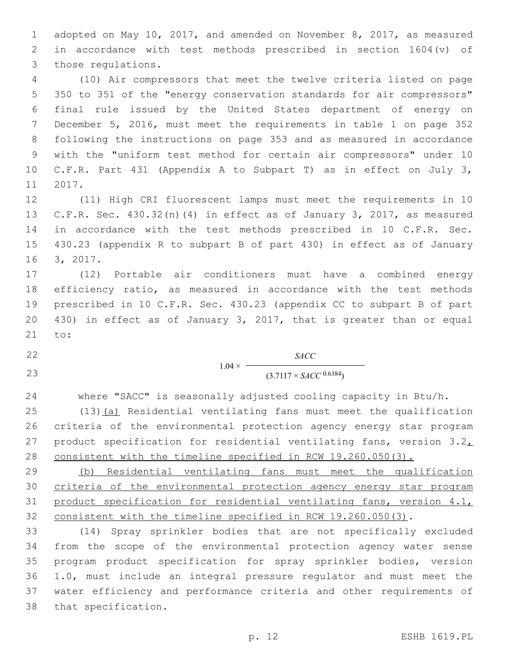adopted on May 10, 2017, and amended on November 8, 2017, as measured in accordance with test methods prescribed in section 1604(v) of 3 those regulations.

 (10) Air compressors that meet the twelve criteria listed on page 350 to 351 of the "energy conservation standards for air compressors" final rule issued by the United States department of energy on December 5, 2016, must meet the requirements in table 1 on page 352 following the instructions on page 353 and as measured in accordance with the "uniform test method for certain air compressors" under 10 C.F.R. Part 431 (Appendix A to Subpart T) as in effect on July 3, 11 2017.

 (11) High CRI fluorescent lamps must meet the requirements in 10 C.F.R. Sec. 430.32(n)(4) in effect as of January 3, 2017, as measured in accordance with the test methods prescribed in 10 C.F.R. Sec. 430.23 (appendix R to subpart B of part 430) in effect as of January 16 3, 2017.

 (12) Portable air conditioners must have a combined energy efficiency ratio, as measured in accordance with the test methods prescribed in 10 C.F.R. Sec. 430.23 (appendix CC to subpart B of part 430) in effect as of January 3, 2017, that is greater than or equal 21 to:

 $1.04 \times$ *SACC* 23 (3.7117 × *SACC* <sup>0.6384</sup>)

where "SACC" is seasonally adjusted cooling capacity in Btu/h.

 (13)(a) Residential ventilating fans must meet the qualification criteria of the environmental protection agency energy star program 27 product specification for residential ventilating fans, version  $3.2<sub>L</sub>$ consistent with the timeline specified in RCW 19.260.050(3).

 (b) Residential ventilating fans must meet the qualification criteria of the environmental protection agency energy star program product specification for residential ventilating fans, version 4.1, consistent with the timeline specified in RCW 19.260.050(3).

 (14) Spray sprinkler bodies that are not specifically excluded from the scope of the environmental protection agency water sense program product specification for spray sprinkler bodies, version 1.0, must include an integral pressure regulator and must meet the water efficiency and performance criteria and other requirements of 38 that specification.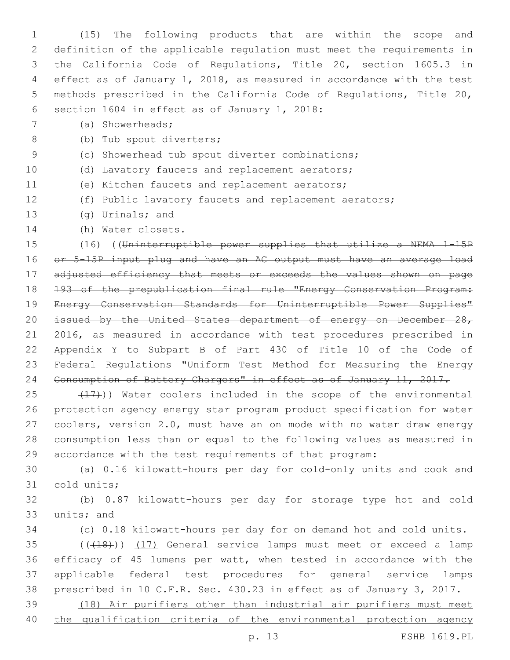(15) The following products that are within the scope and definition of the applicable regulation must meet the requirements in the California Code of Regulations, Title 20, section 1605.3 in effect as of January 1, 2018, as measured in accordance with the test methods prescribed in the California Code of Regulations, Title 20, 6 section 1604 in effect as of January 1, 2018:

(a) Showerheads;7

8 (b) Tub spout diverters;

- (c) Showerhead tub spout diverter combinations;
- (d) Lavatory faucets and replacement aerators;
- 11 (e) Kitchen faucets and replacement aerators;
- (f) Public lavatory faucets and replacement aerators;
- 13 (g) Urinals; and
- 14 (h) Water closets.

 (16) ((Uninterruptible power supplies that utilize a NEMA 1-15P or 5-15P input plug and have an AC output must have an average load adjusted efficiency that meets or exceeds the values shown on page 193 of the prepublication final rule "Energy Conservation Program: Energy Conservation Standards for Uninterruptible Power Supplies" 20 issued by the United States department of energy on December 28, 21 2016, as measured in accordance with test procedures prescribed in Appendix Y to Subpart B of Part 430 of Title 10 of the Code of Federal Regulations "Uniform Test Method for Measuring the Energy Consumption of Battery Chargers" in effect as of January 11, 2017.

25 (17)) Water coolers included in the scope of the environmental protection agency energy star program product specification for water coolers, version 2.0, must have an on mode with no water draw energy consumption less than or equal to the following values as measured in accordance with the test requirements of that program:

 (a) 0.16 kilowatt-hours per day for cold-only units and cook and 31 cold units;

 (b) 0.87 kilowatt-hours per day for storage type hot and cold 33 units; and

(c) 0.18 kilowatt-hours per day for on demand hot and cold units.

35 (((418))) (17) General service lamps must meet or exceed a lamp efficacy of 45 lumens per watt, when tested in accordance with the applicable federal test procedures for general service lamps prescribed in 10 C.F.R. Sec. 430.23 in effect as of January 3, 2017.

 (18) Air purifiers other than industrial air purifiers must meet 40 the qualification criteria of the environmental protection agency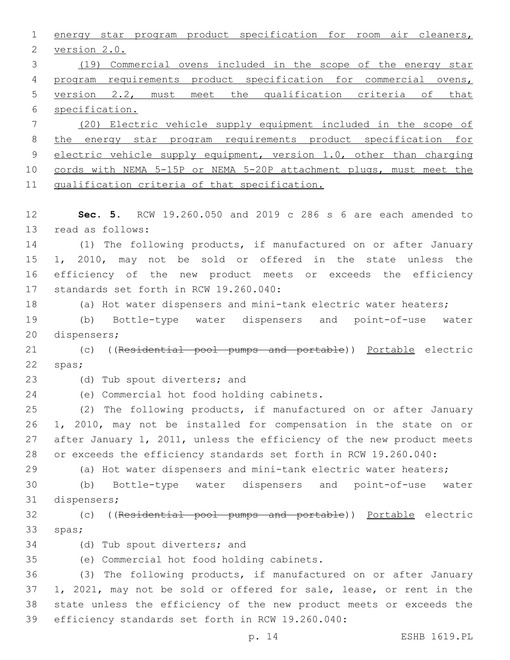energy star program product specification for room air cleaners, 2 version 2.0. (19) Commercial ovens included in the scope of the energy star program requirements product specification for commercial ovens, version 2.2, must meet the qualification criteria of that specification. (20) Electric vehicle supply equipment included in the scope of the energy star program requirements product specification for 9 electric vehicle supply equipment, version 1.0, other than charging cords with NEMA 5-15P or NEMA 5-20P attachment plugs, must meet the qualification criteria of that specification. **Sec. 5.** RCW 19.260.050 and 2019 c 286 s 6 are each amended to 13 read as follows: (1) The following products, if manufactured on or after January 1, 2010, may not be sold or offered in the state unless the efficiency of the new product meets or exceeds the efficiency 17 standards set forth in RCW 19.260.040: (a) Hot water dispensers and mini-tank electric water heaters; (b) Bottle-type water dispensers and point-of-use water 20 dispensers; 21 (c) ((Residential pool pumps and portable)) Portable electric 22 spas; 23 (d) Tub spout diverters; and 24 (e) Commercial hot food holding cabinets. (2) The following products, if manufactured on or after January 1, 2010, may not be installed for compensation in the state on or after January 1, 2011, unless the efficiency of the new product meets or exceeds the efficiency standards set forth in RCW 19.260.040: (a) Hot water dispensers and mini-tank electric water heaters; (b) Bottle-type water dispensers and point-of-use water 31 dispensers; (c) ((Residential pool pumps and portable)) Portable electric 33 spas; 34 (d) Tub spout diverters; and (e) Commercial hot food holding cabinets.35 (3) The following products, if manufactured on or after January 1, 2021, may not be sold or offered for sale, lease, or rent in the state unless the efficiency of the new product meets or exceeds the 39 efficiency standards set forth in RCW 19.260.040:

p. 14 ESHB 1619.PL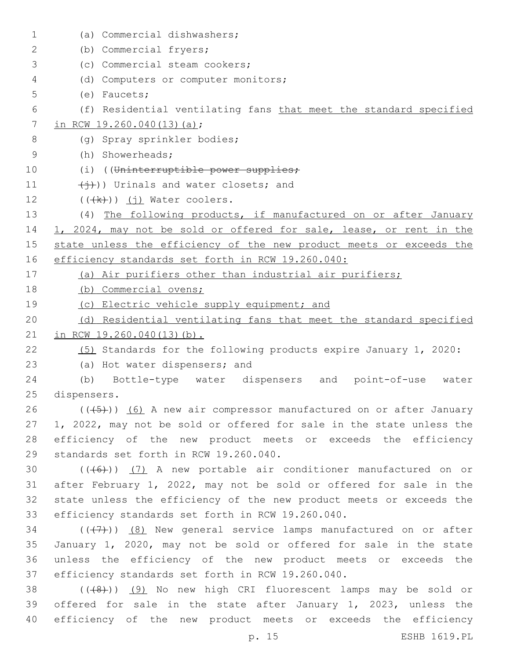| $\mathbf 1$ | (a) Commercial dishwashers;                                          |
|-------------|----------------------------------------------------------------------|
| 2           | (b) Commercial fryers;                                               |
| 3           | (c) Commercial steam cookers;                                        |
| 4           | (d) Computers or computer monitors;                                  |
| 5           | $(e)$ Faucets;                                                       |
| 6           | (f) Residential ventilating fans that meet the standard specified    |
| 7           | in RCW 19.260.040(13)(a);                                            |
| 8           | (q) Spray sprinkler bodies;                                          |
| 9           | (h) Showerheads;                                                     |
| 10          | (i) ((Uninterruptible power supplies;                                |
| 11          | $(\overleftrightarrow{+})$ ) Urinals and water closets; and          |
| 12          | $((\n+k))$ (j) Water coolers.                                        |
| 13          | (4) The following products, if manufactured on or after January      |
| 14          | 1, 2024, may not be sold or offered for sale, lease, or rent in the  |
| 15          | state unless the efficiency of the new product meets or exceeds the  |
| 16          | efficiency standards set forth in RCW 19.260.040:                    |
| 17          | (a) Air purifiers other than industrial air purifiers;               |
| 18          | (b) Commercial ovens;                                                |
| 19          | (c) Electric vehicle supply equipment; and                           |
| 20          | (d) Residential ventilating fans that meet the standard specified    |
| 21          | in RCW 19.260.040(13)(b).                                            |
| 22          | (5) Standards for the following products expire January 1, 2020:     |
| 23          | (a) Hot water dispensers; and                                        |
| 24          | (b) Bottle-type water dispensers and point-of-use water              |
| 25          | dispensers.                                                          |
| 26          | $((+5))$ (6) A new air compressor manufactured on or after January   |
| 27          | 1, 2022, may not be sold or offered for sale in the state unless the |
| 28          | efficiency of the new product meets or exceeds the efficiency        |
| 29          | standards set forth in RCW 19.260.040.                               |
| 30          | $((+6))$ (7) A new portable air conditioner manufactured on or       |
| 31          | after February 1, 2022, may not be sold or offered for sale in the   |
| 32          | state unless the efficiency of the new product meets or exceeds the  |
| 33          | efficiency standards set forth in RCW 19.260.040.                    |
| 34          | $((+7))$ (8) New general service lamps manufactured on or after      |
| 35          | January 1, 2020, may not be sold or offered for sale in the state    |
| 36          | unless the efficiency of the new product meets or exceeds the        |
| 37          | efficiency standards set forth in RCW 19.260.040.                    |
| 38          | $((+8+))$ (9) No new high CRI fluorescent lamps may be sold or       |
| 39          | offered for sale in the state after January 1, 2023, unless the      |
| 40          | efficiency of the new product meets or exceeds the efficiency        |
|             | ESHB 1619.PL<br>p. 15                                                |